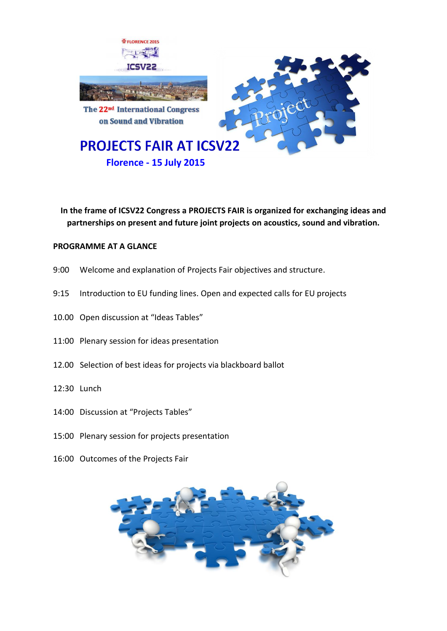

**In the frame of ICSV22 Congress a PROJECTS FAIR is organized for exchanging ideas and partnerships on present and future joint projects on acoustics, sound and vibration.**

# **PROGRAMME AT A GLANCE**

- 9:00 Welcome and explanation of Projects Fair objectives and structure.
- 9:15 Introduction to EU funding lines. Open and expected calls for EU projects
- 10.00 Open discussion at "Ideas Tables"
- 11:00 Plenary session for ideas presentation
- 12.00 Selection of best ideas for projects via blackboard ballot
- 12:30 Lunch
- 14:00 Discussion at "Projects Tables"
- 15:00 Plenary session for projects presentation
- 16:00 Outcomes of the Projects Fair

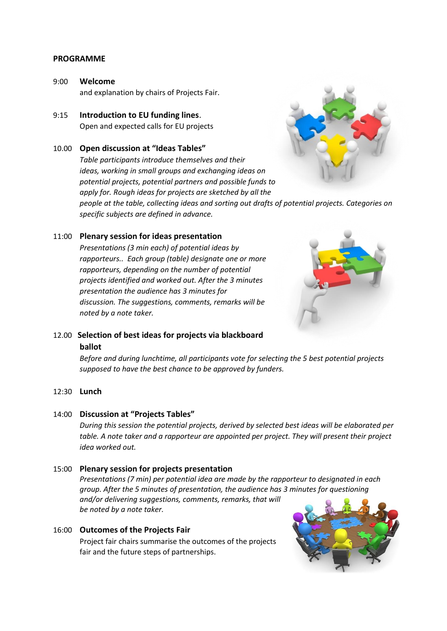### **PROGRAMME**

- 9:00 **Welcome** and explanation by chairs of Projects Fair.
- 9:15 **Introduction to EU funding lines**. Open and expected calls for EU projects
- 10.00 **Open discussion at "Ideas Tables"**

*Table participants introduce themselves and their ideas, working in small groups and exchanging ideas on potential projects, potential partners and possible funds to apply for. Rough ideas for projects are sketched by all the* 



*people at the table, collecting ideas and sorting out drafts of potential projects. Categories on specific subjects are defined in advance.*

## 11:00 **Plenary session for ideas presentation**

*Presentations (3 min each) of potential ideas by rapporteurs.. Each group (table) designate one or more rapporteurs, depending on the number of potential projects identified and worked out. After the 3 minutes presentation the audience has 3 minutes for discussion. The suggestions, comments, remarks will be noted by a note taker.* 



# 12.00 **Selection of best ideas for projects via blackboard ballot**

*Before and during lunchtime, all participants vote for selecting the 5 best potential projects supposed to have the best chance to be approved by funders.*

#### 12:30 **Lunch**

#### 14:00 **Discussion at "Projects Tables"**

*During this session the potential projects, derived by selected best ideas will be elaborated per table. A note taker and a rapporteur are appointed per project. They will present their project idea worked out.* 

#### 15:00 **Plenary session for projects presentation**

*Presentations (7 min) per potential idea are made by the rapporteur to designated in each group. After the 5 minutes of presentation, the audience has 3 minutes for questioning and/or delivering suggestions, comments, remarks, that will be noted by a note taker.*

#### 16:00 **Outcomes of the Projects Fair**

Project fair chairs summarise the outcomes of the projects fair and the future steps of partnerships.

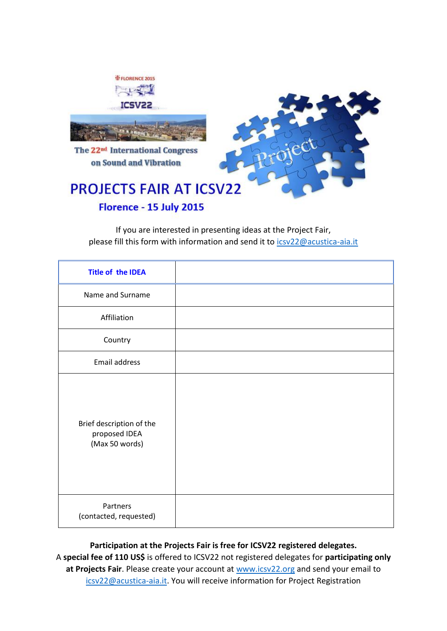

If you are interested in presenting ideas at the Project Fair, please fill this form with information and send it to [icsv22@acustica-aia.it](mailto:icsv22@acustica-aia.it)

| <b>Title of the IDEA</b>                                    |  |
|-------------------------------------------------------------|--|
| Name and Surname                                            |  |
| Affiliation                                                 |  |
| Country                                                     |  |
| Email address                                               |  |
| Brief description of the<br>proposed IDEA<br>(Max 50 words) |  |
| Partners<br>(contacted, requested)                          |  |

**Participation at the Projects Fair is free for ICSV22 registered delegates.** A **special fee of 110 US\$** is offered to ICSV22 not registered delegates for **participating only at Projects Fair**. Please create your account at [www.icsv22.org](http://www.icsv22.org/) and send your email to [icsv22@acustica-aia.it.](mailto:icsv22@acustica-aia.it) You will receive information for Project Registration